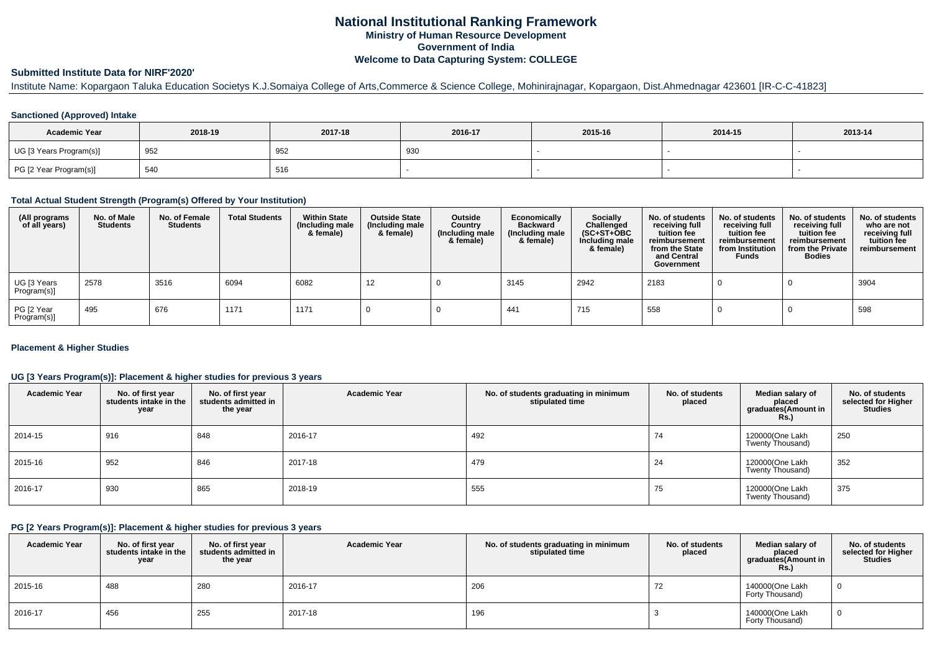# **National Institutional Ranking FrameworkMinistry of Human Resource DevelopmentGovernment of IndiaWelcome to Data Capturing System: COLLEGE**

## **Submitted Institute Data for NIRF'2020'**

# Institute Name: Kopargaon Taluka Education Societys K.J.Somaiya College of Arts,Commerce & Science College, Mohinirajnagar, Kopargaon, Dist.Ahmednagar 423601 [IR-C-C-41823]

## **Sanctioned (Approved) Intake**

| <b>Academic Year</b>    | 2018-19 | 2017-18 | 2016-17  | 2015-16 | 2014-15 | 2013-14 |
|-------------------------|---------|---------|----------|---------|---------|---------|
| UG [3 Years Program(s)] | 952     | 952     | റാ<br>ູບ |         |         |         |
| PG [2 Year Program(s)]  | 540     | 516     |          |         |         |         |

#### **Total Actual Student Strength (Program(s) Offered by Your Institution)**

| (All programs<br>of all years) | No. of Male<br><b>Students</b> | No. of Female<br>Students | <b>Total Students</b> | <b>Within State</b><br>(Including male<br>& female) | <b>Outside State</b><br>(Including male<br>& female) | Outside<br>Country<br>(Including male<br>& female) | Economically<br><b>Backward</b><br>(Including male<br>& female) | <b>Socially</b><br>Challenged<br>$(SC+ST+OBC)$<br>Including male<br>& female) | No. of students<br>receiving full<br>tuition fee<br>reimbursement<br>from the State<br>and Central<br>Government | No. of students<br>receiving full<br>tuition fee<br>reimbursement<br>from Institution<br><b>Funds</b> | No. of students<br>receiving full<br>tuition fee<br>reimbursement<br>from the Private<br><b>Bodies</b> | No. of students<br>who are not<br>receiving full<br>tuition fee<br>reimbursement |
|--------------------------------|--------------------------------|---------------------------|-----------------------|-----------------------------------------------------|------------------------------------------------------|----------------------------------------------------|-----------------------------------------------------------------|-------------------------------------------------------------------------------|------------------------------------------------------------------------------------------------------------------|-------------------------------------------------------------------------------------------------------|--------------------------------------------------------------------------------------------------------|----------------------------------------------------------------------------------|
| UG [3 Years<br>Program(s)]     | 2578                           | 3516                      | 6094                  | 6082                                                | 12                                                   |                                                    | 3145                                                            | 2942                                                                          | 2183                                                                                                             |                                                                                                       |                                                                                                        | 3904                                                                             |
| PG [2 Year<br>Program(s)]      | 495                            | 676                       | 1171                  | 1171                                                |                                                      |                                                    | 441                                                             | 715                                                                           | 558                                                                                                              |                                                                                                       |                                                                                                        | 598                                                                              |

## **Placement & Higher Studies**

## **UG [3 Years Program(s)]: Placement & higher studies for previous 3 years**

| <b>Academic Year</b> | No. of first year<br>students intake in the<br>year | No. of first year<br>students admitted in<br>the year | <b>Academic Year</b> | No. of students graduating in minimum<br>stipulated time | No. of students<br>placed | Median salary of<br>placed<br>graduates(Amount in<br>Rs. | No. of students<br>selected for Higher<br><b>Studies</b> |
|----------------------|-----------------------------------------------------|-------------------------------------------------------|----------------------|----------------------------------------------------------|---------------------------|----------------------------------------------------------|----------------------------------------------------------|
| 2014-15              | 916                                                 | 848                                                   | 2016-17              | 492                                                      | 74                        | 120000(One Lakh<br>Twenty Thousand)                      | 250                                                      |
| 2015-16              | 952                                                 | 846                                                   | 2017-18              | 479                                                      | 24                        | 120000(One Lakh<br>Twenty Thousand)                      | 352                                                      |
| 2016-17              | 930                                                 | 865                                                   | 2018-19              | 555                                                      | 75                        | 120000(One Lakh<br>Twenty Thousand)                      | 375                                                      |

#### **PG [2 Years Program(s)]: Placement & higher studies for previous 3 years**

| <b>Academic Year</b> | No. of first year<br>students intake in the<br>year | No. of first year<br>students admitted in<br>the year | <b>Academic Year</b> | No. of students graduating in minimum<br>stipulated time | No. of students<br>placed | Median salary of<br>placed<br>graduates(Amount in<br><b>Rs.)</b> | No. of students<br>selected for Higher<br><b>Studies</b> |
|----------------------|-----------------------------------------------------|-------------------------------------------------------|----------------------|----------------------------------------------------------|---------------------------|------------------------------------------------------------------|----------------------------------------------------------|
| 2015-16              | 488                                                 | 280                                                   | 2016-17              | 206                                                      |                           | 140000(One Lakh<br>Forty Thousand)                               |                                                          |
| 2016-17              | 456                                                 | 255                                                   | 2017-18              | 196                                                      |                           | 140000(One Lakh<br>Forty Thousand)                               |                                                          |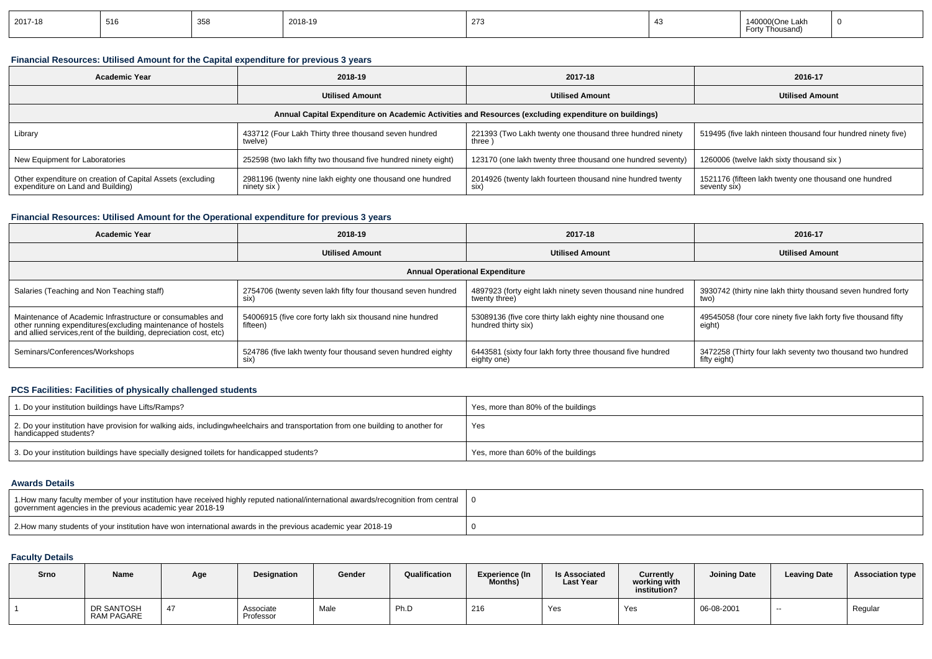| 2017-18 | 516 | 358 | 2018-19 | 273 |  | 140000(One Lakh<br>For<br>, Thousan |  |
|---------|-----|-----|---------|-----|--|-------------------------------------|--|
|---------|-----|-----|---------|-----|--|-------------------------------------|--|

## **Financial Resources: Utilised Amount for the Capital expenditure for previous 3 years**

| <b>Academic Year</b>                                                                                 | 2018-19                                                                  | 2017-18                                                              | 2016-17                                                               |  |  |  |  |  |  |  |  |  |
|------------------------------------------------------------------------------------------------------|--------------------------------------------------------------------------|----------------------------------------------------------------------|-----------------------------------------------------------------------|--|--|--|--|--|--|--|--|--|
|                                                                                                      | <b>Utilised Amount</b>                                                   | <b>Utilised Amount</b>                                               | <b>Utilised Amount</b>                                                |  |  |  |  |  |  |  |  |  |
| Annual Capital Expenditure on Academic Activities and Resources (excluding expenditure on buildings) |                                                                          |                                                                      |                                                                       |  |  |  |  |  |  |  |  |  |
| Library                                                                                              | 433712 (Four Lakh Thirty three thousand seven hundred<br>twelve)         | 221393 (Two Lakh twenty one thousand three hundred ninety<br>three ) | 519495 (five lakh ninteen thousand four hundred ninety five)          |  |  |  |  |  |  |  |  |  |
| New Equipment for Laboratories                                                                       | 252598 (two lakh fifty two thousand five hundred ninety eight)           | 123170 (one lakh twenty three thousand one hundred seventy)          | 1260006 (twelve lakh sixty thousand six)                              |  |  |  |  |  |  |  |  |  |
| Other expenditure on creation of Capital Assets (excluding<br>expenditure on Land and Building)      | 2981196 (twenty nine lakh eighty one thousand one hundred<br>ninety six) | 2014926 (twenty lakh fourteen thousand nine hundred twenty<br>six)   | 1521176 (fifteen lakh twenty one thousand one hundred<br>seventy six) |  |  |  |  |  |  |  |  |  |

## **Financial Resources: Utilised Amount for the Operational expenditure for previous 3 years**

| <b>Academic Year</b>                                                                                                                                                                            | 2018-19                                                              | 2017-18                                                                         | 2016-17                                                                    |  |  |  |  |  |  |  |  |  |
|-------------------------------------------------------------------------------------------------------------------------------------------------------------------------------------------------|----------------------------------------------------------------------|---------------------------------------------------------------------------------|----------------------------------------------------------------------------|--|--|--|--|--|--|--|--|--|
|                                                                                                                                                                                                 | <b>Utilised Amount</b>                                               | <b>Utilised Amount</b>                                                          | <b>Utilised Amount</b>                                                     |  |  |  |  |  |  |  |  |  |
| <b>Annual Operational Expenditure</b>                                                                                                                                                           |                                                                      |                                                                                 |                                                                            |  |  |  |  |  |  |  |  |  |
| Salaries (Teaching and Non Teaching staff)                                                                                                                                                      | 2754706 (twenty seven lakh fifty four thousand seven hundred<br>six) | 4897923 (forty eight lakh ninety seven thousand nine hundred<br>twenty three)   | 3930742 (thirty nine lakh thirty thousand seven hundred forty<br>two)      |  |  |  |  |  |  |  |  |  |
| Maintenance of Academic Infrastructure or consumables and<br>other running expenditures (excluding maintenance of hostels<br>and allied services, rent of the building, depreciation cost, etc) | 54006915 (five core forty lakh six thousand nine hundred<br>fifteen) | 53089136 (five core thirty lakh eighty nine thousand one<br>hundred thirty six) | 49545058 (four core ninety five lakh forty five thousand fifty<br>eight)   |  |  |  |  |  |  |  |  |  |
| Seminars/Conferences/Workshops                                                                                                                                                                  | 524786 (five lakh twenty four thousand seven hundred eighty<br>six)  | 6443581 (sixty four lakh forty three thousand five hundred<br>eighty one)       | 3472258 (Thirty four lakh seventy two thousand two hundred<br>fifty eight) |  |  |  |  |  |  |  |  |  |

## **PCS Facilities: Facilities of physically challenged students**

| 1. Do your institution buildings have Lifts/Ramps?                                                                                                        | Yes, more than 80% of the buildings |
|-----------------------------------------------------------------------------------------------------------------------------------------------------------|-------------------------------------|
| 2. Do your institution have provision for walking aids, includingwheelchairs and transportation from one building to another for<br>handicapped students? | Yes                                 |
| 3. Do your institution buildings have specially designed toilets for handicapped students?                                                                | Yes, more than 60% of the buildings |

## **Awards Details**

| 1. Allow many faculty member of your institution have received highly reputed national/international awards/recognition from central<br>government agencies in the previous academic year 2018-19 |  |
|---------------------------------------------------------------------------------------------------------------------------------------------------------------------------------------------------|--|
| 2. Alow many students of your institution have won international awards in the previous academic year 2018-19                                                                                     |  |

## **Faculty Details**

| Srno | Name                            | Age | Designation            | Gender | Qualification | <b>Experience (In</b><br>Months) | <b>Is Associated</b><br><b>Last Year</b> | Currently<br>working with<br>institution? | <b>Joining Date</b> | <b>Leaving Date</b>      | <b>Association type</b> |
|------|---------------------------------|-----|------------------------|--------|---------------|----------------------------------|------------------------------------------|-------------------------------------------|---------------------|--------------------------|-------------------------|
|      | DR SANTOSH<br><b>RAM PAGARE</b> |     | Associate<br>Professor | Male   | Ph.D          | 216                              | Yes                                      | Yes                                       | 06-08-2001          | $\overline{\phantom{a}}$ | Regular                 |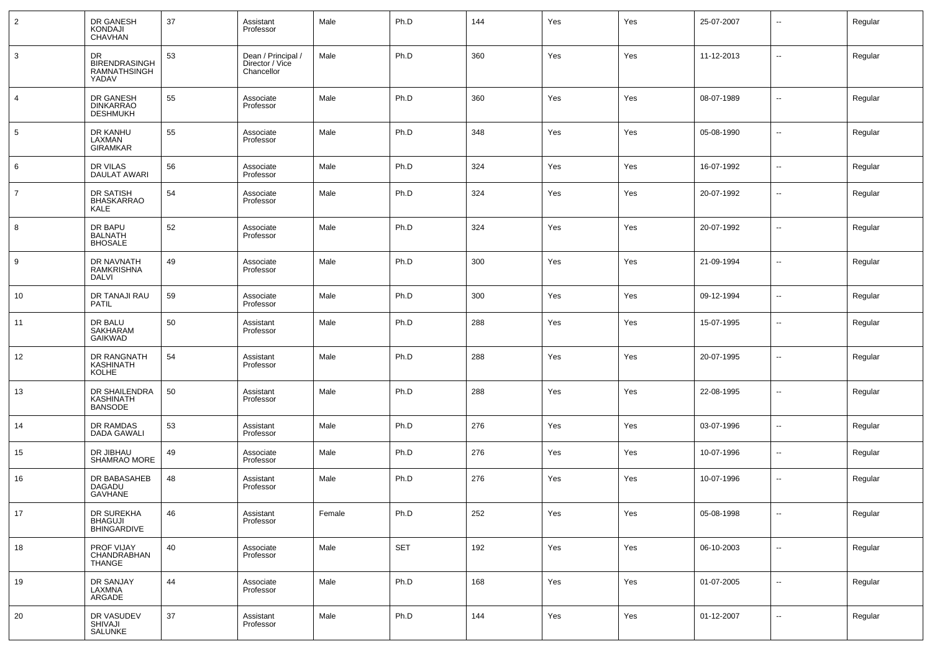| $\overline{2}$ | DR GANESH<br>KONDAJI<br>CHAVHAN                     | 37 | Assistant<br>Professor                              | Male   | Ph.D       | 144 | Yes | Yes | 25-07-2007 | $\overline{\phantom{a}}$ | Regular |
|----------------|-----------------------------------------------------|----|-----------------------------------------------------|--------|------------|-----|-----|-----|------------|--------------------------|---------|
| 3              | DR<br><b>BIRENDRASINGH</b><br>RAMNATHSINGH<br>YADAV | 53 | Dean / Principal /<br>Director / Vice<br>Chancellor | Male   | Ph.D       | 360 | Yes | Yes | 11-12-2013 | $\ddotsc$                | Regular |
| $\overline{4}$ | DR GANESH<br>DINKARRAO<br><b>DESHMUKH</b>           | 55 | Associate<br>Professor                              | Male   | Ph.D       | 360 | Yes | Yes | 08-07-1989 | $\overline{\phantom{a}}$ | Regular |
| 5              | DR KANHU<br>LAXMAN<br><b>GIRAMKAR</b>               | 55 | Associate<br>Professor                              | Male   | Ph.D       | 348 | Yes | Yes | 05-08-1990 | $\overline{\phantom{a}}$ | Regular |
| 6              | DR VILAS<br><b>DAULAT AWARI</b>                     | 56 | Associate<br>Professor                              | Male   | Ph.D       | 324 | Yes | Yes | 16-07-1992 | $\overline{\phantom{a}}$ | Regular |
| $\overline{7}$ | <b>DR SATISH</b><br><b>BHASKARRAO</b><br>KALE       | 54 | Associate<br>Professor                              | Male   | Ph.D       | 324 | Yes | Yes | 20-07-1992 | $\overline{\phantom{a}}$ | Regular |
| 8              | DR BAPU<br><b>BALNATH</b><br><b>BHOSALE</b>         | 52 | Associate<br>Professor                              | Male   | Ph.D       | 324 | Yes | Yes | 20-07-1992 | $\overline{\phantom{a}}$ | Regular |
| 9              | DR NAVNATH<br><b>RAMKRISHNA</b><br><b>DALVI</b>     | 49 | Associate<br>Professor                              | Male   | Ph.D       | 300 | Yes | Yes | 21-09-1994 | $\sim$                   | Regular |
| 10             | DR TANAJI RAU<br><b>PATIL</b>                       | 59 | Associate<br>Professor                              | Male   | Ph.D       | 300 | Yes | Yes | 09-12-1994 | --                       | Regular |
| 11             | DR BALU<br><b>SAKHARAM</b><br><b>GAIKWAD</b>        | 50 | Assistant<br>Professor                              | Male   | Ph.D       | 288 | Yes | Yes | 15-07-1995 | $\overline{\phantom{a}}$ | Regular |
| 12             | DR RANGNATH<br>KASHINATH<br><b>KOLHE</b>            | 54 | Assistant<br>Professor                              | Male   | Ph.D       | 288 | Yes | Yes | 20-07-1995 | $\overline{\phantom{a}}$ | Regular |
| 13             | DR SHAILENDRA<br>KASHINATH                          | 50 | Assistant<br>Professor                              | Male   | Ph.D       | 288 | Yes | Yes | 22-08-1995 | $\overline{\phantom{a}}$ | Regular |
| 14             | DR RAMDAS<br><b>DADA GAWALI</b>                     | 53 | Assistant<br>Professor                              | Male   | Ph.D       | 276 | Yes | Yes | 03-07-1996 | $\overline{\phantom{a}}$ | Regular |
| 15             | DR JIBHAU<br>SHAMRAO MORE                           | 49 | Associate<br>Professor                              | Male   | Ph.D       | 276 | Yes | Yes | 10-07-1996 | $\overline{\phantom{a}}$ | Regular |
| 16             | DR BABASAHEB<br>DAGADU<br>GAVHANE                   | 48 | Assistant<br>Professor                              | Male   | Ph.D       | 276 | Yes | Yes | 10-07-1996 | --                       | Regular |
| 17             | DR SUREKHA<br>BHAGUJI<br><b>BHINGARDIVE</b>         | 46 | Assistant<br>Professor                              | Female | Ph.D       | 252 | Yes | Yes | 05-08-1998 | $\overline{\phantom{a}}$ | Regular |
| 18             | PROF VIJAY<br>CHANDRABHAN<br>THANGE                 | 40 | Associate<br>Professor                              | Male   | <b>SET</b> | 192 | Yes | Yes | 06-10-2003 | $\overline{\phantom{a}}$ | Regular |
| 19             | DR SANJAY<br>LAXMNA<br>ARGADE                       | 44 | Associate<br>Professor                              | Male   | Ph.D       | 168 | Yes | Yes | 01-07-2005 | $\overline{\phantom{a}}$ | Regular |
| 20             | DR VASUDEV<br>SHIVAJI<br><b>SALUNKE</b>             | 37 | Assistant<br>Professor                              | Male   | Ph.D       | 144 | Yes | Yes | 01-12-2007 | $\overline{\phantom{a}}$ | Regular |